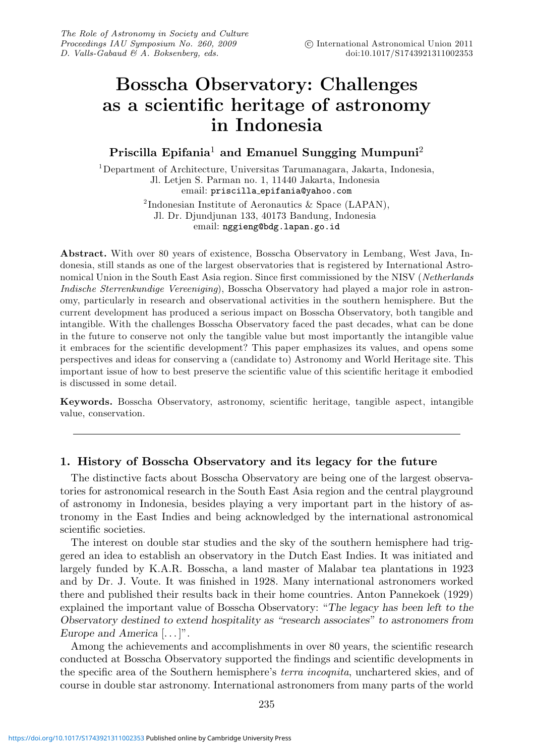# **Bosscha Observatory: Challenges as a scientific heritage of astronomy in Indonesia**

**Priscilla Epifania**<sup>1</sup> **and Emanuel Sungging Mumpuni**<sup>2</sup>

<sup>1</sup>Department of Architecture, Universitas Tarumanagara, Jakarta, Indonesia, Jl. Letjen S. Parman no. 1, 11440 Jakarta, Indonesia email: priscilla epifania@yahoo.com <sup>2</sup>Indonesian Institute of Aeronautics & Space (LAPAN),

Jl. Dr. Djundjunan 133, 40173 Bandung, Indonesia email: nggieng@bdg.lapan.go.id

**Abstract.** With over 80 years of existence, Bosscha Observatory in Lembang, West Java, Indonesia, still stands as one of the largest observatories that is registered by International Astronomical Union in the South East Asia region. Since first commissioned by the NISV (Netherlands Indische Sterrenkundige Vereeniging), Bosscha Observatory had played a major role in astronomy, particularly in research and observational activities in the southern hemisphere. But the current development has produced a serious impact on Bosscha Observatory, both tangible and intangible. With the challenges Bosscha Observatory faced the past decades, what can be done in the future to conserve not only the tangible value but most importantly the intangible value it embraces for the scientific development? This paper emphasizes its values, and opens some perspectives and ideas for conserving a (candidate to) Astronomy and World Heritage site. This important issue of how to best preserve the scientific value of this scientific heritage it embodied is discussed in some detail.

**Keywords.** Bosscha Observatory, astronomy, scientific heritage, tangible aspect, intangible value, conservation.

# **1. History of Bosscha Observatory and its legacy for the future**

The distinctive facts about Bosscha Observatory are being one of the largest observatories for astronomical research in the South East Asia region and the central playground of astronomy in Indonesia, besides playing a very important part in the history of astronomy in the East Indies and being acknowledged by the international astronomical scientific societies.

The interest on double star studies and the sky of the southern hemisphere had triggered an idea to establish an observatory in the Dutch East Indies. It was initiated and largely funded by K.A.R. Bosscha, a land master of Malabar tea plantations in 1923 and by Dr. J. Voute. It was finished in 1928. Many international astronomers worked there and published their results back in their home countries. Anton Pannekoek (1929) explained the important value of Bosscha Observatory: "*The legacy has been left to the Observatory destined to extend hospitality as "research associates" to astronomers from Europe and America* [. . . ]".

Among the achievements and accomplishments in over 80 years, the scientific research conducted at Bosscha Observatory supported the findings and scientific developments in the specific area of the Southern hemisphere's *terra incognita*, unchartered skies, and of course in double star astronomy. International astronomers from many parts of the world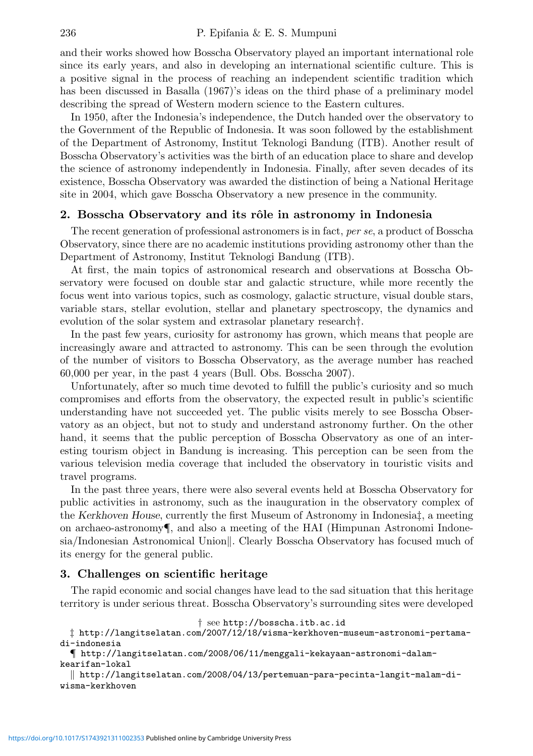and their works showed how Bosscha Observatory played an important international role since its early years, and also in developing an international scientific culture. This is a positive signal in the process of reaching an independent scientific tradition which has been discussed in Basalla (1967)'s ideas on the third phase of a preliminary model describing the spread of Western modern science to the Eastern cultures.

In 1950, after the Indonesia's independence, the Dutch handed over the observatory to the Government of the Republic of Indonesia. It was soon followed by the establishment of the Department of Astronomy, Institut Teknologi Bandung (ITB). Another result of Bosscha Observatory's activities was the birth of an education place to share and develop the science of astronomy independently in Indonesia. Finally, after seven decades of its existence, Bosscha Observatory was awarded the distinction of being a National Heritage site in 2004, which gave Bosscha Observatory a new presence in the community.

# **2. Bosscha Observatory and its rˆole in astronomy in Indonesia**

The recent generation of professional astronomers is in fact, per se, a product of Bosscha Observatory, since there are no academic institutions providing astronomy other than the Department of Astronomy, Institut Teknologi Bandung (ITB).

At first, the main topics of astronomical research and observations at Bosscha Observatory were focused on double star and galactic structure, while more recently the focus went into various topics, such as cosmology, galactic structure, visual double stars, variable stars, stellar evolution, stellar and planetary spectroscopy, the dynamics and evolution of the solar system and extrasolar planetary research†.

In the past few years, curiosity for astronomy has grown, which means that people are increasingly aware and attracted to astronomy. This can be seen through the evolution of the number of visitors to Bosscha Observatory, as the average number has reached 60,000 per year, in the past 4 years (Bull. Obs. Bosscha 2007).

Unfortunately, after so much time devoted to fulfill the public's curiosity and so much compromises and efforts from the observatory, the expected result in public's scientific understanding have not succeeded yet. The public visits merely to see Bosscha Observatory as an object, but not to study and understand astronomy further. On the other hand, it seems that the public perception of Bosscha Observatory as one of an interesting tourism object in Bandung is increasing. This perception can be seen from the various television media coverage that included the observatory in touristic visits and travel programs.

In the past three years, there were also several events held at Bosscha Observatory for public activities in astronomy, such as the inauguration in the observatory complex of the *Kerkhoven House*, currently the first Museum of Astronomy in Indonesia‡, a meeting on archaeo-astronomy¶, and also a meeting of the HAI (Himpunan Astronomi Indonesia/Indonesian Astronomical Union. Clearly Bosscha Observatory has focused much of its energy for the general public.

#### **3. Challenges on scientific heritage**

The rapid economic and social changes have lead to the sad situation that this heritage territory is under serious threat. Bosscha Observatory's surrounding sites were developed

```
† see http://bosscha.itb.ac.id
```

```
‡ http://langitselatan.com/2007/12/18/wisma-kerkhoven-museum-astronomi-pertama-
di-indonesia
```

```
¶ http://langitselatan.com/2008/06/11/menggali-kekayaan-astronomi-dalam-
kearifan-lokal
```

```
 http://langitselatan.com/2008/04/13/pertemuan-para-pecinta-langit-malam-di-
wisma-kerkhoven
```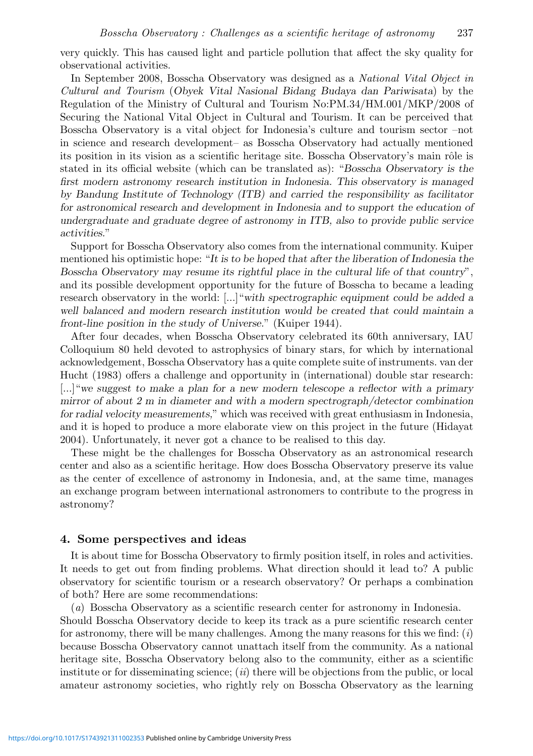very quickly. This has caused light and particle pollution that affect the sky quality for observational activities.

In September 2008, Bosscha Observatory was designed as a National Vital Object in Cultural and Tourism (*Obyek Vital Nasional Bidang Budaya dan Pariwisata*) by the Regulation of the Ministry of Cultural and Tourism No:PM.34/HM.001/MKP/2008 of Securing the National Vital Object in Cultural and Tourism. It can be perceived that Bosscha Observatory is a vital object for Indonesia's culture and tourism sector –not in science and research development– as Bosscha Observatory had actually mentioned its position in its vision as a scientific heritage site. Bosscha Observatory's main rôle is stated in its official website (which can be translated as): "*Bosscha Observatory is the first modern astronomy research institution in Indonesia. This observatory is managed by Bandung Institute of Technology (ITB) and carried the responsibility as facilitator for astronomical research and development in Indonesia and to support the education of undergraduate and graduate degree of astronomy in ITB, also to provide public service activities.*"

Support for Bosscha Observatory also comes from the international community. Kuiper mentioned his optimistic hope: "*It is to be hoped that after the liberation of Indonesia the Bosscha Observatory may resume its rightful place in the cultural life of that country*", and its possible development opportunity for the future of Bosscha to became a leading research observatory in the world: [...]"*with spectrographic equipment could be added a well balanced and modern research institution would be created that could maintain a front-line position in the study of Universe.*" (Kuiper 1944).

After four decades, when Bosscha Observatory celebrated its 60th anniversary, IAU Colloquium 80 held devoted to astrophysics of binary stars, for which by international acknowledgement, Bosscha Observatory has a quite complete suite of instruments. van der Hucht (1983) offers a challenge and opportunity in (international) double star research: [...]"*we suggest to make a plan for a new modern telescope a reflector with a primary mirror of about 2 m in diameter and with a modern spectrograph/detector combination for radial velocity measurements,*" which was received with great enthusiasm in Indonesia, and it is hoped to produce a more elaborate view on this project in the future (Hidayat 2004). Unfortunately, it never got a chance to be realised to this day.

These might be the challenges for Bosscha Observatory as an astronomical research center and also as a scientific heritage. How does Bosscha Observatory preserve its value as the center of excellence of astronomy in Indonesia, and, at the same time, manages an exchange program between international astronomers to contribute to the progress in astronomy?

### **4. Some perspectives and ideas**

It is about time for Bosscha Observatory to firmly position itself, in roles and activities. It needs to get out from finding problems. What direction should it lead to? A public observatory for scientific tourism or a research observatory? Or perhaps a combination of both? Here are some recommendations:

(a) Bosscha Observatory as a scientific research center for astronomy in Indonesia. Should Bosscha Observatory decide to keep its track as a pure scientific research center for astronomy, there will be many challenges. Among the many reasons for this we find:  $(i)$ because Bosscha Observatory cannot unattach itself from the community. As a national heritage site, Bosscha Observatory belong also to the community, either as a scientific institute or for disseminating science;  $(ii)$  there will be objections from the public, or local amateur astronomy societies, who rightly rely on Bosscha Observatory as the learning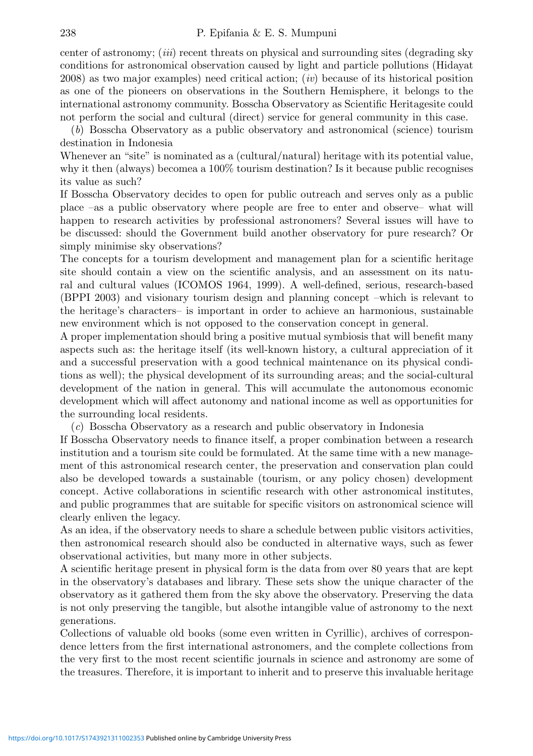center of astronomy; *(iii)* recent threats on physical and surrounding sites (degrading sky conditions for astronomical observation caused by light and particle pollutions (Hidayat  $2008$ ) as two major examples) need critical action; (*iv*) because of its historical position as one of the pioneers on observations in the Southern Hemisphere, it belongs to the international astronomy community. Bosscha Observatory as Scientific Heritagesite could not perform the social and cultural (direct) service for general community in this case.

(b) Bosscha Observatory as a public observatory and astronomical (science) tourism destination in Indonesia

Whenever an "site" is nominated as a (cultural/natural) heritage with its potential value, why it then (always) becomea a 100% tourism destination? Is it because public recognises its value as such?

If Bosscha Observatory decides to open for public outreach and serves only as a public place –as a public observatory where people are free to enter and observe– what will happen to research activities by professional astronomers? Several issues will have to be discussed: should the Government build another observatory for pure research? Or simply minimise sky observations?

The concepts for a tourism development and management plan for a scientific heritage site should contain a view on the scientific analysis, and an assessment on its natural and cultural values (ICOMOS 1964, 1999). A well-defined, serious, research-based (BPPI 2003) and visionary tourism design and planning concept –which is relevant to the heritage's characters– is important in order to achieve an harmonious, sustainable new environment which is not opposed to the conservation concept in general.

A proper implementation should bring a positive mutual symbiosis that will benefit many aspects such as: the heritage itself (its well-known history, a cultural appreciation of it and a successful preservation with a good technical maintenance on its physical conditions as well); the physical development of its surrounding areas; and the social-cultural development of the nation in general. This will accumulate the autonomous economic development which will affect autonomy and national income as well as opportunities for the surrounding local residents.

(c) Bosscha Observatory as a research and public observatory in Indonesia

If Bosscha Observatory needs to finance itself, a proper combination between a research institution and a tourism site could be formulated. At the same time with a new management of this astronomical research center, the preservation and conservation plan could also be developed towards a sustainable (tourism, or any policy chosen) development concept. Active collaborations in scientific research with other astronomical institutes, and public programmes that are suitable for specific visitors on astronomical science will clearly enliven the legacy.

As an idea, if the observatory needs to share a schedule between public visitors activities, then astronomical research should also be conducted in alternative ways, such as fewer observational activities, but many more in other subjects.

A scientific heritage present in physical form is the data from over 80 years that are kept in the observatory's databases and library. These sets show the unique character of the observatory as it gathered them from the sky above the observatory. Preserving the data is not only preserving the tangible, but alsothe intangible value of astronomy to the next generations.

Collections of valuable old books (some even written in Cyrillic), archives of correspondence letters from the first international astronomers, and the complete collections from the very first to the most recent scientific journals in science and astronomy are some of the treasures. Therefore, it is important to inherit and to preserve this invaluable heritage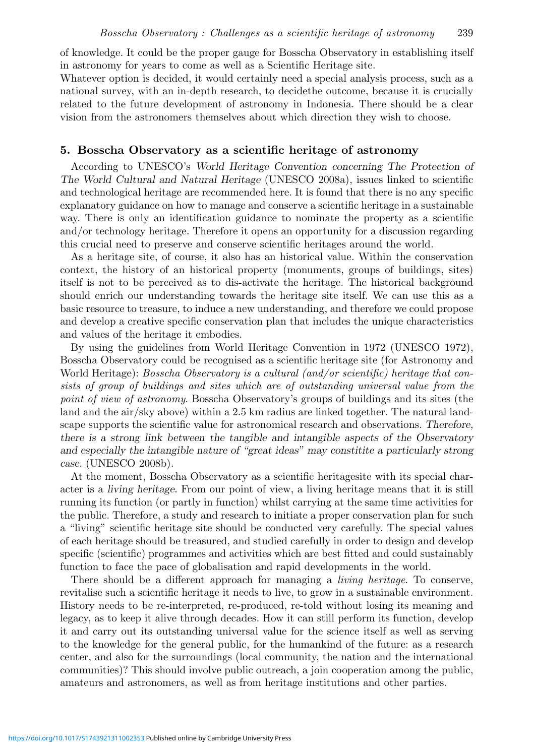of knowledge. It could be the proper gauge for Bosscha Observatory in establishing itself in astronomy for years to come as well as a Scientific Heritage site.

Whatever option is decided, it would certainly need a special analysis process, such as a national survey, with an in-depth research, to decidethe outcome, because it is crucially related to the future development of astronomy in Indonesia. There should be a clear vision from the astronomers themselves about which direction they wish to choose.

### **5. Bosscha Observatory as a scientific heritage of astronomy**

According to UNESCO's *World Heritage Convention concerning The Protection of The World Cultural and Natural Heritage* (UNESCO 2008a), issues linked to scientific and technological heritage are recommended here. It is found that there is no any specific explanatory guidance on how to manage and conserve a scientific heritage in a sustainable way. There is only an identification guidance to nominate the property as a scientific and/or technology heritage. Therefore it opens an opportunity for a discussion regarding this crucial need to preserve and conserve scientific heritages around the world.

As a heritage site, of course, it also has an historical value. Within the conservation context, the history of an historical property (monuments, groups of buildings, sites) itself is not to be perceived as to dis-activate the heritage. The historical background should enrich our understanding towards the heritage site itself. We can use this as a basic resource to treasure, to induce a new understanding, and therefore we could propose and develop a creative specific conservation plan that includes the unique characteristics and values of the heritage it embodies.

By using the guidelines from World Heritage Convention in 1972 (UNESCO 1972), Bosscha Observatory could be recognised as a scientific heritage site (for Astronomy and World Heritage): Bosscha Observatory is a cultural (and/or scientific) heritage that consists of group of buildings and sites which are of outstanding universal value from the point of view of astronomy. Bosscha Observatory's groups of buildings and its sites (the land and the air/sky above) within a 2.5 km radius are linked together. The natural landscape supports the scientific value for astronomical research and observations. *Therefore, there is a strong link between the tangible and intangible aspects of the Observatory and especially the intangible nature of "great ideas" may constitite a particularly strong case.* (UNESCO 2008b).

At the moment, Bosscha Observatory as a scientific heritagesite with its special character is a *living heritage*. From our point of view, a living heritage means that it is still running its function (or partly in function) whilst carrying at the same time activities for the public. Therefore, a study and research to initiate a proper conservation plan for such a "living" scientific heritage site should be conducted very carefully. The special values of each heritage should be treasured, and studied carefully in order to design and develop specific (scientific) programmes and activities which are best fitted and could sustainably function to face the pace of globalisation and rapid developments in the world.

There should be a different approach for managing a *living heritage*. To conserve, revitalise such a scientific heritage it needs to live, to grow in a sustainable environment. History needs to be re-interpreted, re-produced, re-told without losing its meaning and legacy, as to keep it alive through decades. How it can still perform its function, develop it and carry out its outstanding universal value for the science itself as well as serving to the knowledge for the general public, for the humankind of the future: as a research center, and also for the surroundings (local community, the nation and the international communities)? This should involve public outreach, a join cooperation among the public, amateurs and astronomers, as well as from heritage institutions and other parties.